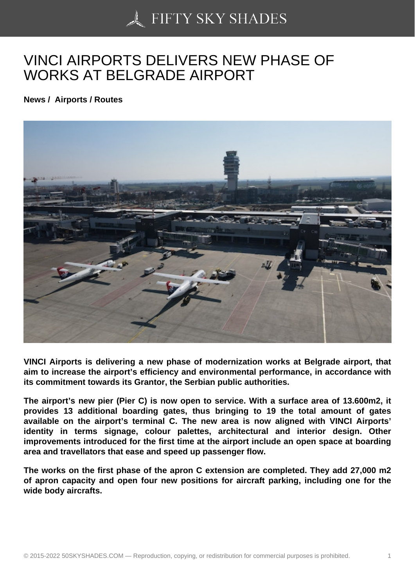## [VINCI AIRPORTS DEL](https://50skyshades.com)IVERS NEW PHASE OF WORKS AT BELGRADE AIRPORT

News / Airports / Routes

VINCI Airports is delivering a new phase of modernization works at Belgrade airport, that aim to increase the airport's efficiency and environmental performance, in accordance with its commitment towards its Grantor, the Serbian public authorities.

The airport's new pier (Pier C) is now open to service. With a surface area of 13.600m2, it provides 13 additional boarding gates, thus bringing to 19 the total amount of gates available on the airport's terminal C. The new area is now aligned with VINCI Airports' identity in terms signage, colour palettes, architectural and interior design. Other improvements introduced for the first time at the airport include an open space at boarding area and travellators that ease and speed up passenger flow.

The works on the first phase of the apron C extension are completed. They add 27,000 m2 of apron capacity and open four new positions for aircraft parking, including one for the wide body aircrafts.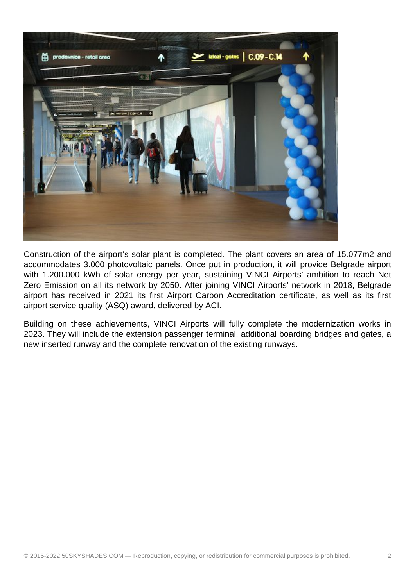

Construction of the airport's solar plant is completed. The plant covers an area of 15.077m2 and accommodates 3.000 photovoltaic panels. Once put in production, it will provide Belgrade airport with 1.200.000 kWh of solar energy per year, sustaining VINCI Airports' ambition to reach Net Zero Emission on all its network by 2050. After joining VINCI Airports' network in 2018, Belgrade airport has received in 2021 its first Airport Carbon Accreditation certificate, as well as its first airport service quality (ASQ) award, delivered by ACI.

Building on these achievements, VINCI Airports will fully complete the modernization works in 2023. They will include the extension passenger terminal, additional boarding bridges and gates, a new inserted runway and the complete renovation of the existing runways.